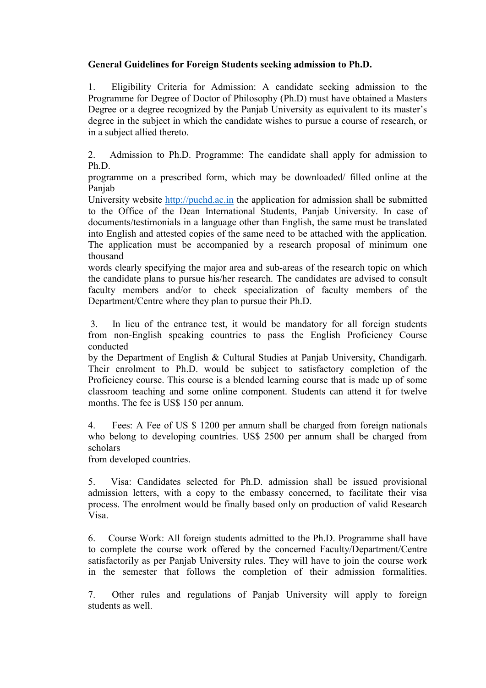# General Guidelines for Foreign Students seeking admission to Ph.D.

1. Eligibility Criteria for Admission: A candidate seeking admission to the Programme for Degree of Doctor of Philosophy (Ph.D) must have obtained a Masters Degree or a degree recognized by the Panjab University as equivalent to its master's degree in the subject in which the candidate wishes to pursue a course of research, or in a subject allied thereto.

2. Admission to Ph.D. Programme: The candidate shall apply for admission to Ph.D.

programme on a prescribed form, which may be downloaded/ filled online at the Panjab

University website http://puchd.ac.in the application for admission shall be submitted to the Office of the Dean International Students, Panjab University. In case of documents/testimonials in a language other than English, the same must be translated into English and attested copies of the same need to be attached with the application. The application must be accompanied by a research proposal of minimum one thousand

words clearly specifying the major area and sub-areas of the research topic on which the candidate plans to pursue his/her research. The candidates are advised to consult faculty members and/or to check specialization of faculty members of the Department/Centre where they plan to pursue their Ph.D.

 3. In lieu of the entrance test, it would be mandatory for all foreign students from non-English speaking countries to pass the English Proficiency Course conducted

by the Department of English & Cultural Studies at Panjab University, Chandigarh. Their enrolment to Ph.D. would be subject to satisfactory completion of the Proficiency course. This course is a blended learning course that is made up of some classroom teaching and some online component. Students can attend it for twelve months. The fee is US\$ 150 per annum.

4. Fees: A Fee of US \$ 1200 per annum shall be charged from foreign nationals who belong to developing countries. US\$ 2500 per annum shall be charged from scholars

from developed countries.

5. Visa: Candidates selected for Ph.D. admission shall be issued provisional admission letters, with a copy to the embassy concerned, to facilitate their visa process. The enrolment would be finally based only on production of valid Research Visa.

6. Course Work: All foreign students admitted to the Ph.D. Programme shall have to complete the course work offered by the concerned Faculty/Department/Centre satisfactorily as per Panjab University rules. They will have to join the course work in the semester that follows the completion of their admission formalities.

7. Other rules and regulations of Panjab University will apply to foreign students as well.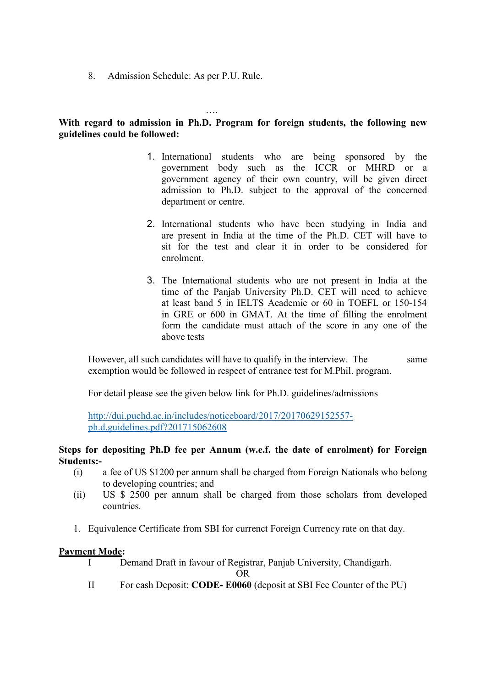8. Admission Schedule: As per P.U. Rule.

# With regard to admission in Ph.D. Program for foreign students, the following new guidelines could be followed:

….

- 1. International students who are being sponsored by the government body such as the ICCR or MHRD or a government agency of their own country, will be given direct admission to Ph.D. subject to the approval of the concerned department or centre.
- 2. International students who have been studying in India and are present in India at the time of the Ph.D. CET will have to sit for the test and clear it in order to be considered for enrolment.
- 3. The International students who are not present in India at the time of the Panjab University Ph.D. CET will need to achieve at least band 5 in IELTS Academic or 60 in TOEFL or 150-154 in GRE or 600 in GMAT. At the time of filling the enrolment form the candidate must attach of the score in any one of the above tests

However, all such candidates will have to qualify in the interview. The same exemption would be followed in respect of entrance test for M.Phil. program.

For detail please see the given below link for Ph.D. guidelines/admissions

http://dui.puchd.ac.in/includes/noticeboard/2017/20170629152557 ph.d.guidelines.pdf?201715062608

## Steps for depositing Ph.D fee per Annum (w.e.f. the date of enrolment) for Foreign Students:-

- (i) a fee of US \$1200 per annum shall be charged from Foreign Nationals who belong to developing countries; and
- (ii) US \$ 2500 per annum shall be charged from those scholars from developed countries.
- 1. Equivalence Certificate from SBI for currenct Foreign Currency rate on that day.

#### Payment Mode:

I Demand Draft in favour of Registrar, Panjab University, Chandigarh.

OR

II For cash Deposit: CODE- E0060 (deposit at SBI Fee Counter of the PU)